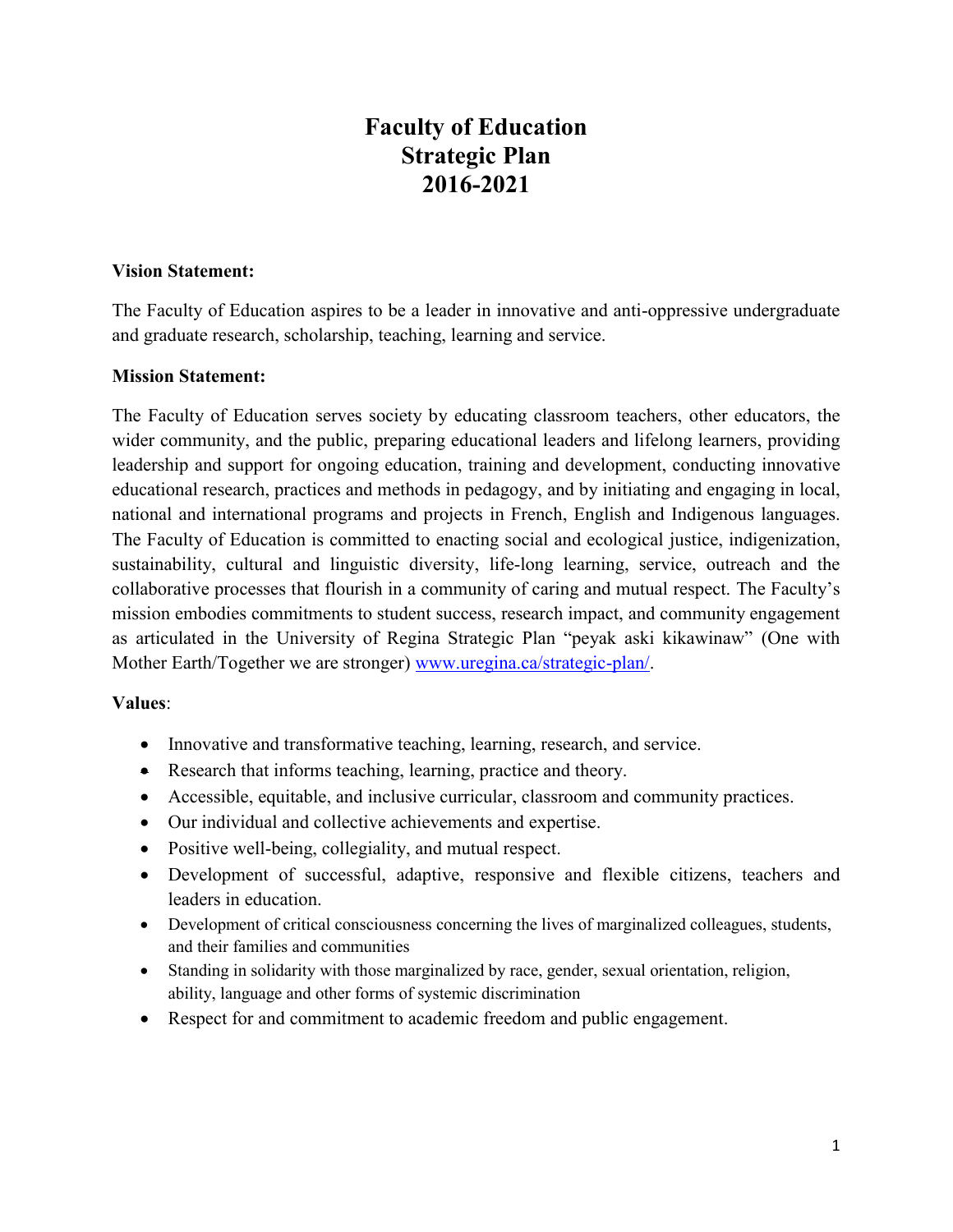# **Faculty of Education Strategic Plan 2016-2021**

#### **Vision Statement:**

The Faculty of Education aspires to be a leader in innovative and anti-oppressive undergraduate and graduate research, scholarship, teaching, learning and service.

### **Mission Statement:**

The Faculty of Education serves society by educating classroom teachers, other educators, the wider community, and the public, preparing educational leaders and lifelong learners, providing leadership and support for ongoing education, training and development, conducting innovative educational research, practices and methods in pedagogy, and by initiating and engaging in local, national and international programs and projects in French, English and Indigenous languages. The Faculty of Education is committed to enacting social and ecological justice, indigenization, sustainability, cultural and linguistic diversity, life-long learning, service, outreach and the collaborative processes that flourish in a community of caring and mutual respect. The Faculty's mission embodies commitments to student success, research impact, and community engagement as articulated in the University of Regina Strategic Plan "peyak aski kikawinaw" (One with Mother Earth/Together we are stronger) [www.uregina.ca/strategic-plan/.](http://www.uregina.ca/strategic-plan/)

### **Values**:

- Innovative and transformative teaching, learning, research, and service.
- Research that informs teaching, learning, practice and theory.
- Accessible, equitable, and inclusive curricular, classroom and community practices.
- Our individual and collective achievements and expertise.
- Positive well-being, collegiality, and mutual respect.
- Development of successful, adaptive, responsive and flexible citizens, teachers and leaders in education.
- Development of critical consciousness concerning the lives of marginalized colleagues, students, and their families and communities
- Standing in solidarity with those marginalized by race, gender, sexual orientation, religion, ability, language and other forms of systemic discrimination
- Respect for and commitment to academic freedom and public engagement.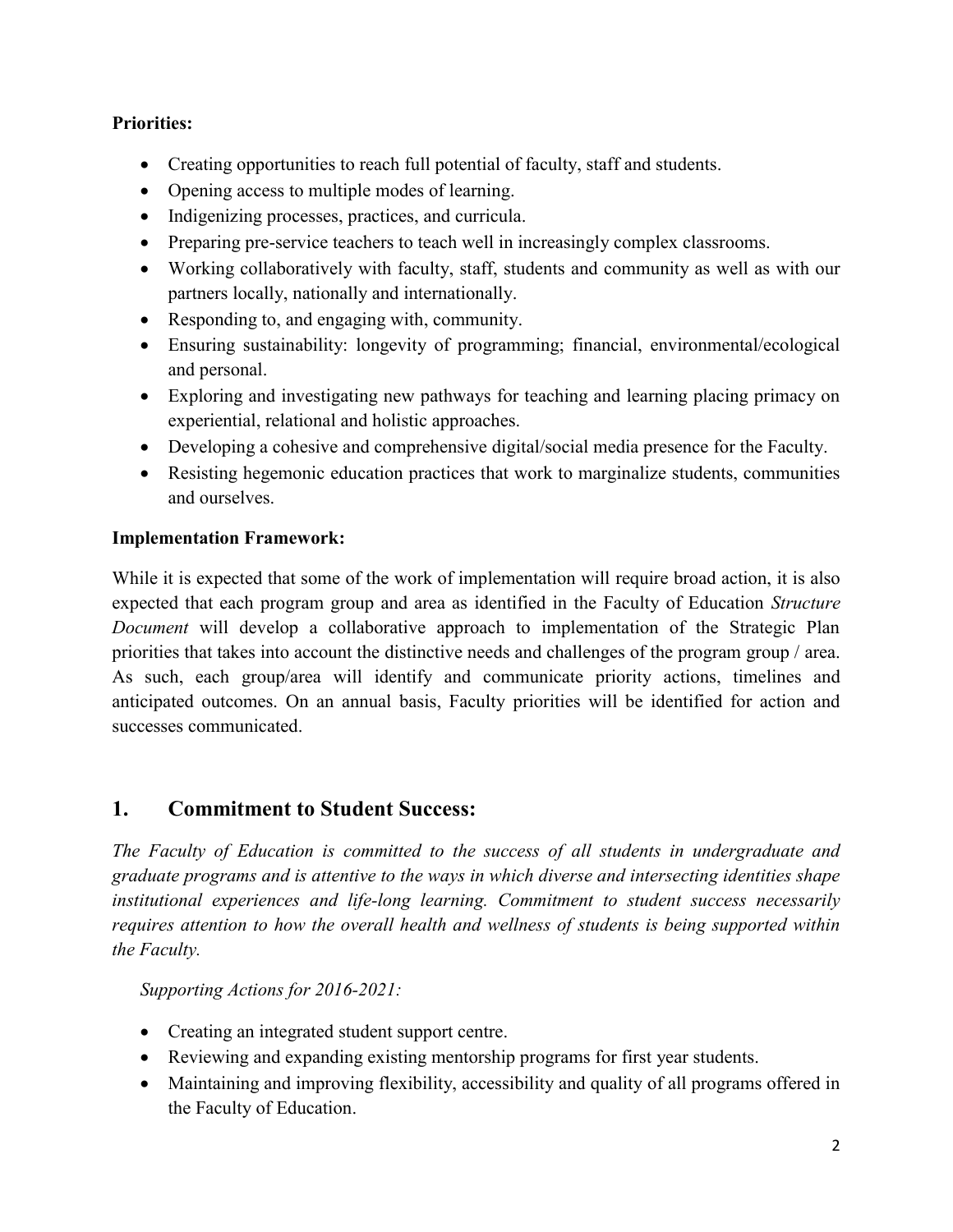### **Priorities:**

- Creating opportunities to reach full potential of faculty, staff and students.
- Opening access to multiple modes of learning.
- Indigenizing processes, practices, and curricula.
- Preparing pre-service teachers to teach well in increasingly complex classrooms.
- Working collaboratively with faculty, staff, students and community as well as with our partners locally, nationally and internationally.
- Responding to, and engaging with, community.
- Ensuring sustainability: longevity of programming; financial, environmental/ecological and personal.
- Exploring and investigating new pathways for teaching and learning placing primacy on experiential, relational and holistic approaches.
- Developing a cohesive and comprehensive digital/social media presence for the Faculty.
- Resisting hegemonic education practices that work to marginalize students, communities and ourselves.

### **Implementation Framework:**

While it is expected that some of the work of implementation will require broad action, it is also expected that each program group and area as identified in the Faculty of Education *Structure Document* will develop a collaborative approach to implementation of the Strategic Plan priorities that takes into account the distinctive needs and challenges of the program group / area. As such, each group/area will identify and communicate priority actions, timelines and anticipated outcomes. On an annual basis, Faculty priorities will be identified for action and successes communicated.

## **1. Commitment to Student Success:**

*The Faculty of Education is committed to the success of all students in undergraduate and graduate programs and is attentive to the ways in which diverse and intersecting identities shape institutional experiences and life-long learning. Commitment to student success necessarily requires attention to how the overall health and wellness of students is being supported within the Faculty.* 

*Supporting Actions for 2016-2021:* 

- Creating an integrated student support centre.
- Reviewing and expanding existing mentorship programs for first year students.
- Maintaining and improving flexibility, accessibility and quality of all programs offered in the Faculty of Education.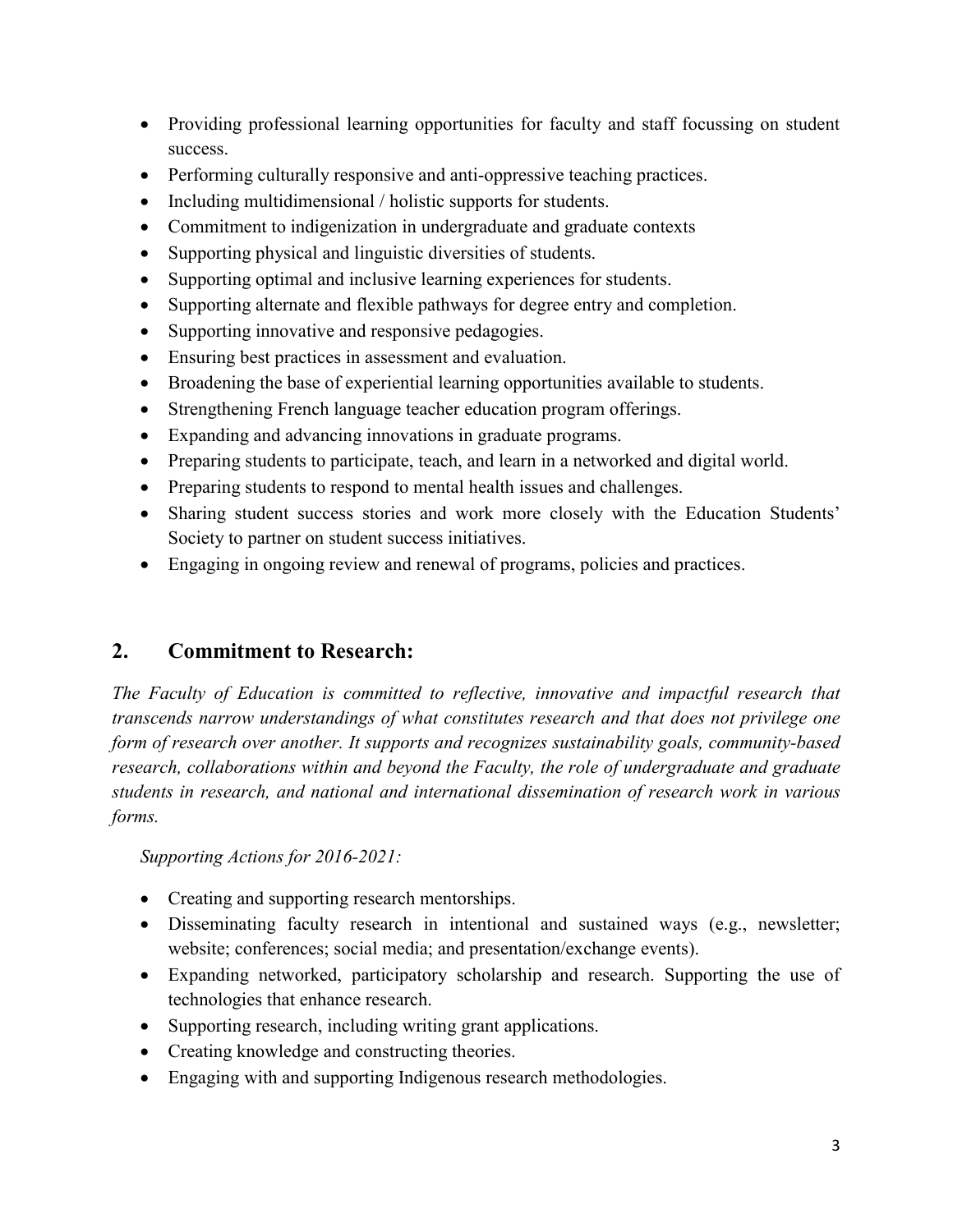- Providing professional learning opportunities for faculty and staff focussing on student success.
- Performing culturally responsive and anti-oppressive teaching practices.
- Including multidimensional / holistic supports for students.
- Commitment to indigenization in undergraduate and graduate contexts
- Supporting physical and linguistic diversities of students.
- Supporting optimal and inclusive learning experiences for students.
- Supporting alternate and flexible pathways for degree entry and completion.
- Supporting innovative and responsive pedagogies.
- Ensuring best practices in assessment and evaluation.
- Broadening the base of experiential learning opportunities available to students.
- Strengthening French language teacher education program offerings.
- Expanding and advancing innovations in graduate programs.
- Preparing students to participate, teach, and learn in a networked and digital world.
- Preparing students to respond to mental health issues and challenges.
- Sharing student success stories and work more closely with the Education Students' Society to partner on student success initiatives.
- Engaging in ongoing review and renewal of programs, policies and practices.

## **2. Commitment to Research:**

*The Faculty of Education is committed to reflective, innovative and impactful research that transcends narrow understandings of what constitutes research and that does not privilege one form of research over another. It supports and recognizes sustainability goals, community-based research, collaborations within and beyond the Faculty, the role of undergraduate and graduate students in research, and national and international dissemination of research work in various forms.* 

*Supporting Actions for 2016-2021:* 

- Creating and supporting research mentorships.
- Disseminating faculty research in intentional and sustained ways (e.g., newsletter; website; conferences; social media; and presentation/exchange events).
- Expanding networked, participatory scholarship and research. Supporting the use of technologies that enhance research.
- Supporting research, including writing grant applications.
- Creating knowledge and constructing theories.
- Engaging with and supporting Indigenous research methodologies.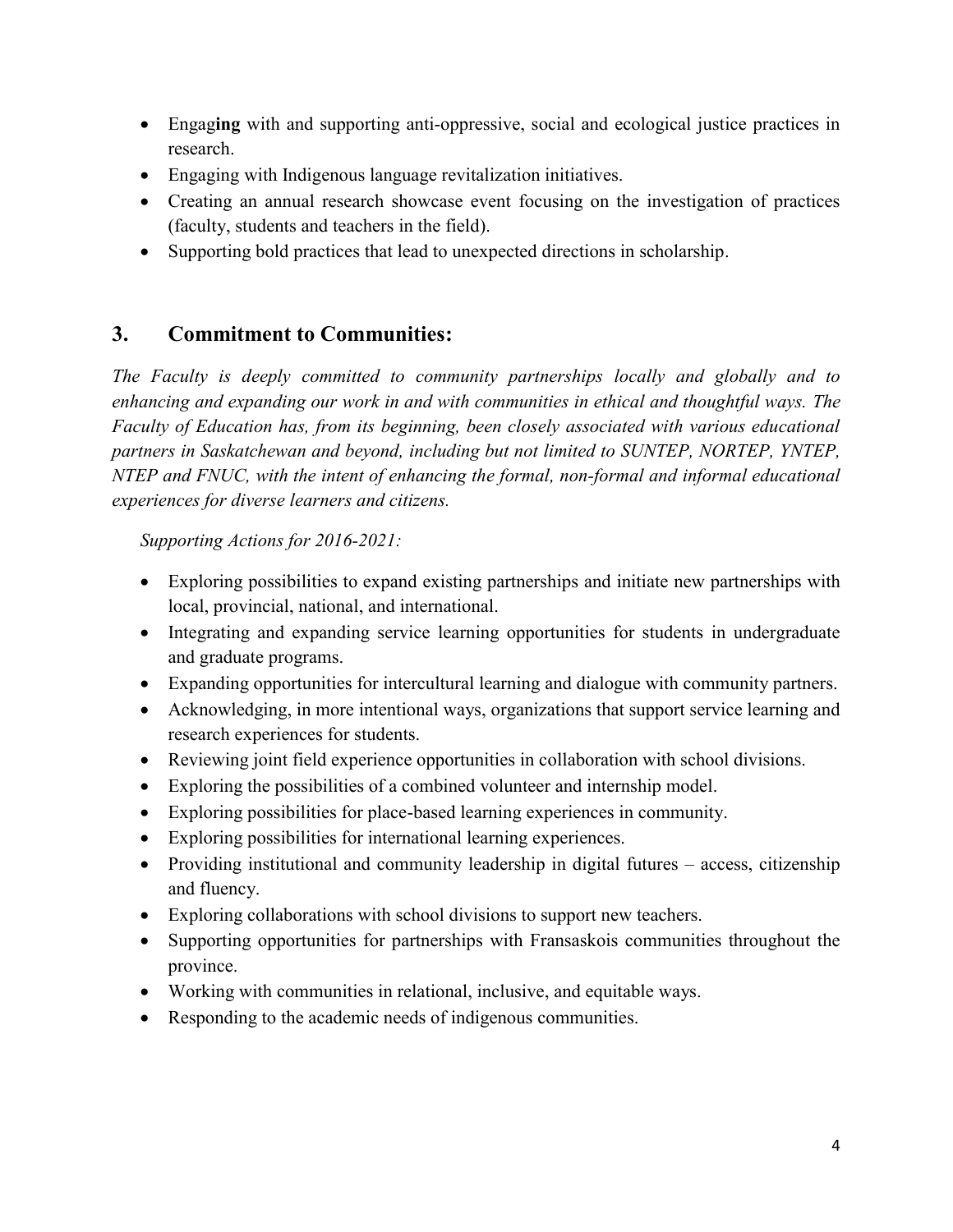- Engag**ing** with and supporting anti-oppressive, social and ecological justice practices in research.
- Engaging with Indigenous language revitalization initiatives.
- Creating an annual research showcase event focusing on the investigation of practices (faculty, students and teachers in the field).
- Supporting bold practices that lead to unexpected directions in scholarship.

## **3. Commitment to Communities:**

*The Faculty is deeply committed to community partnerships locally and globally and to enhancing and expanding our work in and with communities in ethical and thoughtful ways. The Faculty of Education has, from its beginning, been closely associated with various educational partners in Saskatchewan and beyond, including but not limited to SUNTEP, NORTEP, YNTEP, NTEP and FNUC, with the intent of enhancing the formal, non-formal and informal educational experiences for diverse learners and citizens.* 

*Supporting Actions for 2016-2021:* 

- Exploring possibilities to expand existing partnerships and initiate new partnerships with local, provincial, national, and international.
- Integrating and expanding service learning opportunities for students in undergraduate and graduate programs.
- Expanding opportunities for intercultural learning and dialogue with community partners.
- Acknowledging, in more intentional ways, organizations that support service learning and research experiences for students.
- Reviewing joint field experience opportunities in collaboration with school divisions.
- Exploring the possibilities of a combined volunteer and internship model.
- Exploring possibilities for place-based learning experiences in community.
- Exploring possibilities for international learning experiences.
- Providing institutional and community leadership in digital futures access, citizenship and fluency.
- Exploring collaborations with school divisions to support new teachers.
- Supporting opportunities for partnerships with Fransaskois communities throughout the province.
- Working with communities in relational, inclusive, and equitable ways.
- Responding to the academic needs of indigenous communities.